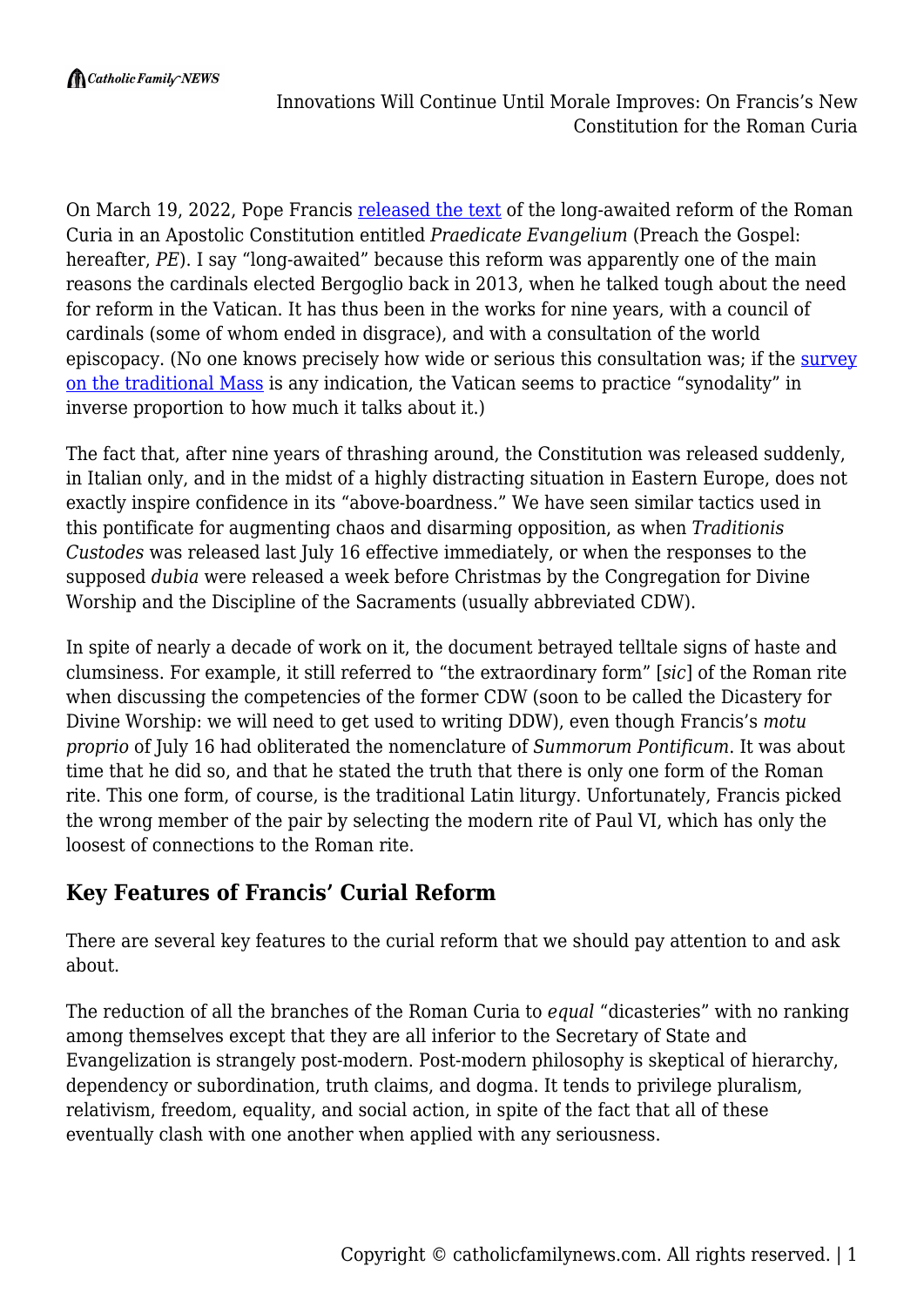Innovations Will Continue Until Morale Improves: On Francis's New Constitution for the Roman Curia

On March 19, 2022, Pope Francis [released the text](https://press.vatican.va/content/salastampa/en/bollettino/pubblico/2022/03/19/220319c.html) of the long-awaited reform of the Roman Curia in an Apostolic Constitution entitled *Praedicate Evangelium* (Preach the Gospel: hereafter, *PE*). I say "long-awaited" because this reform was apparently one of the main reasons the cardinals elected Bergoglio back in 2013, when he talked tough about the need for reform in the Vatican. It has thus been in the works for nine years, with a council of cardinals (some of whom ended in disgrace), and with a consultation of the world episcopacy. (No one knows precisely how wide or serious this consultation was; if the [survey](https://remnantnewspaper.com/web/index.php/articles/item/5633-traditionis-custodes-separating-fact-from-fiction) [on the traditional Mass](https://remnantnewspaper.com/web/index.php/articles/item/5633-traditionis-custodes-separating-fact-from-fiction) is any indication, the Vatican seems to practice "synodality" in inverse proportion to how much it talks about it.)

The fact that, after nine years of thrashing around, the Constitution was released suddenly, in Italian only, and in the midst of a highly distracting situation in Eastern Europe, does not exactly inspire confidence in its "above-boardness." We have seen similar tactics used in this pontificate for augmenting chaos and disarming opposition, as when *Traditionis Custodes* was released last July 16 effective immediately, or when the responses to the supposed *dubia* were released a week before Christmas by the Congregation for Divine Worship and the Discipline of the Sacraments (usually abbreviated CDW).

In spite of nearly a decade of work on it, the document betrayed telltale signs of haste and clumsiness. For example, it still referred to "the extraordinary form" [*sic*] of the Roman rite when discussing the competencies of the former CDW (soon to be called the Dicastery for Divine Worship: we will need to get used to writing DDW), even though Francis's *motu proprio* of July 16 had obliterated the nomenclature of *Summorum Pontificum*. It was about time that he did so, and that he stated the truth that there is only one form of the Roman rite. This one form, of course, is the traditional Latin liturgy. Unfortunately, Francis picked the wrong member of the pair by selecting the modern rite of Paul VI, which has only the loosest of connections to the Roman rite.

#### **Key Features of Francis' Curial Reform**

There are several key features to the curial reform that we should pay attention to and ask about.

The reduction of all the branches of the Roman Curia to *equal* "dicasteries" with no ranking among themselves except that they are all inferior to the Secretary of State and Evangelization is strangely post-modern. Post-modern philosophy is skeptical of hierarchy, dependency or subordination, truth claims, and dogma. It tends to privilege pluralism, relativism, freedom, equality, and social action, in spite of the fact that all of these eventually clash with one another when applied with any seriousness.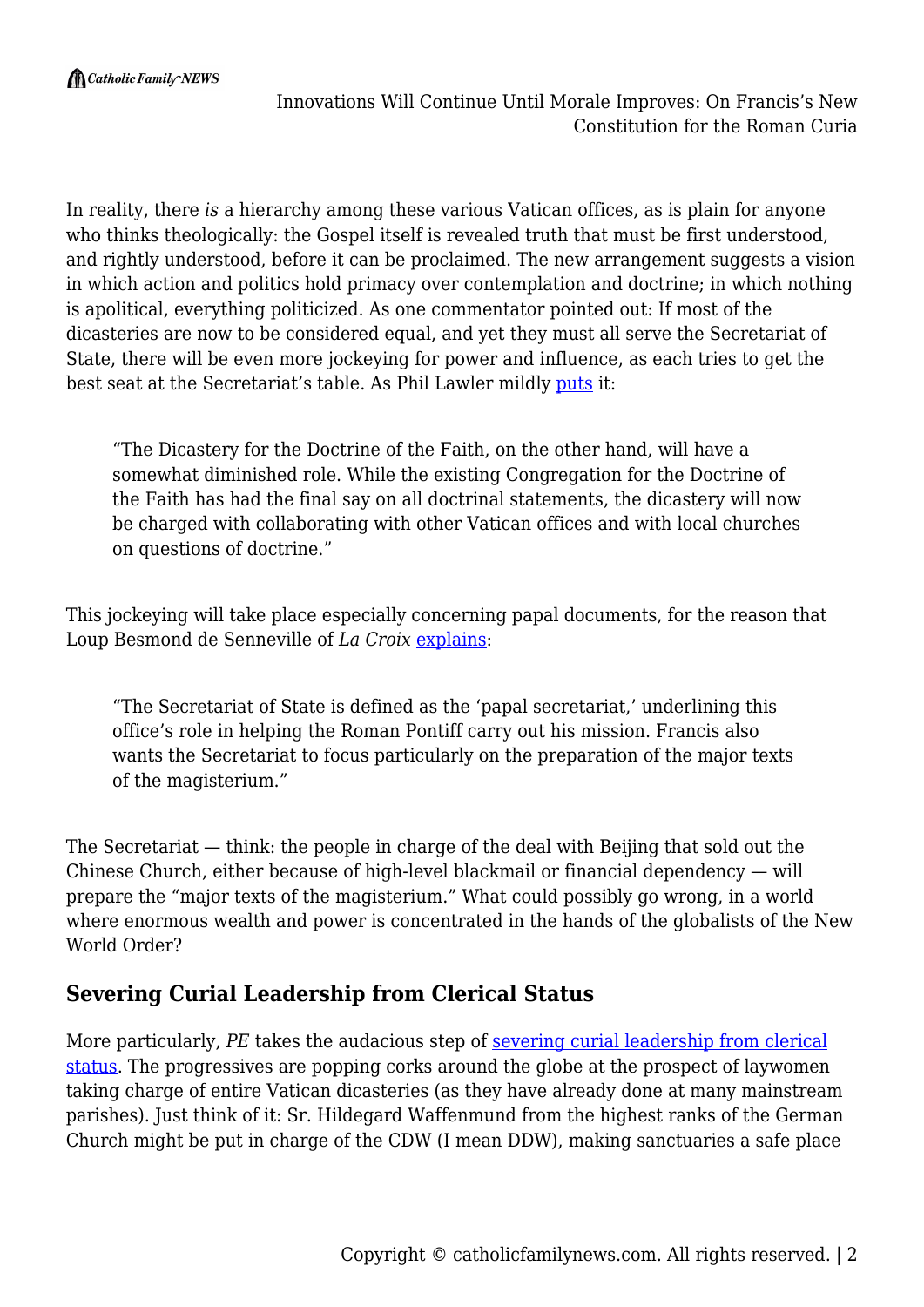In reality, there *is* a hierarchy among these various Vatican offices, as is plain for anyone who thinks theologically: the Gospel itself is revealed truth that must be first understood, and rightly understood, before it can be proclaimed. The new arrangement suggests a vision in which action and politics hold primacy over contemplation and doctrine; in which nothing is apolitical, everything politicized. As one commentator pointed out: If most of the dicasteries are now to be considered equal, and yet they must all serve the Secretariat of State, there will be even more jockeying for power and influence, as each tries to get the best seat at the Secretariat's table. As Phil Lawler mildly [puts](https://www.catholicculture.org/news/headlines/index.cfm?storyid=54238) it:

"The Dicastery for the Doctrine of the Faith, on the other hand, will have a somewhat diminished role. While the existing Congregation for the Doctrine of the Faith has had the final say on all doctrinal statements, the dicastery will now be charged with collaborating with other Vatican offices and with local churches on questions of doctrine."

This jockeying will take place especially concerning papal documents, for the reason that Loup Besmond de Senneville of *La Croix* [explains:](https://international.la-croix.com/news/religion/roman-curia-reformed-pope-francis-revolution/15822)

"The Secretariat of State is defined as the 'papal secretariat,' underlining this office's role in helping the Roman Pontiff carry out his mission. Francis also wants the Secretariat to focus particularly on the preparation of the major texts of the magisterium."

The Secretariat — think: the people in charge of the deal with Beijing that sold out the Chinese Church, either because of high-level blackmail or financial dependency — will prepare the "major texts of the magisterium." What could possibly go wrong, in a world where enormous wealth and power is concentrated in the hands of the globalists of the New World Order?

## **Severing Curial Leadership from Clerical Status**

More particularly, *PE* takes the audacious step of [severing curial leadership from clerical](https://www.lifesitenews.com/news/pope-francis-reforms-roman-curia-rules-any-layperson-can-hold-governance-positions-in-vatican) [status.](https://www.lifesitenews.com/news/pope-francis-reforms-roman-curia-rules-any-layperson-can-hold-governance-positions-in-vatican) The progressives are popping corks around the globe at the prospect of laywomen taking charge of entire Vatican dicasteries (as they have already done at many mainstream parishes). Just think of it: Sr. Hildegard Waffenmund from the highest ranks of the German Church might be put in charge of the CDW (I mean DDW), making sanctuaries a safe place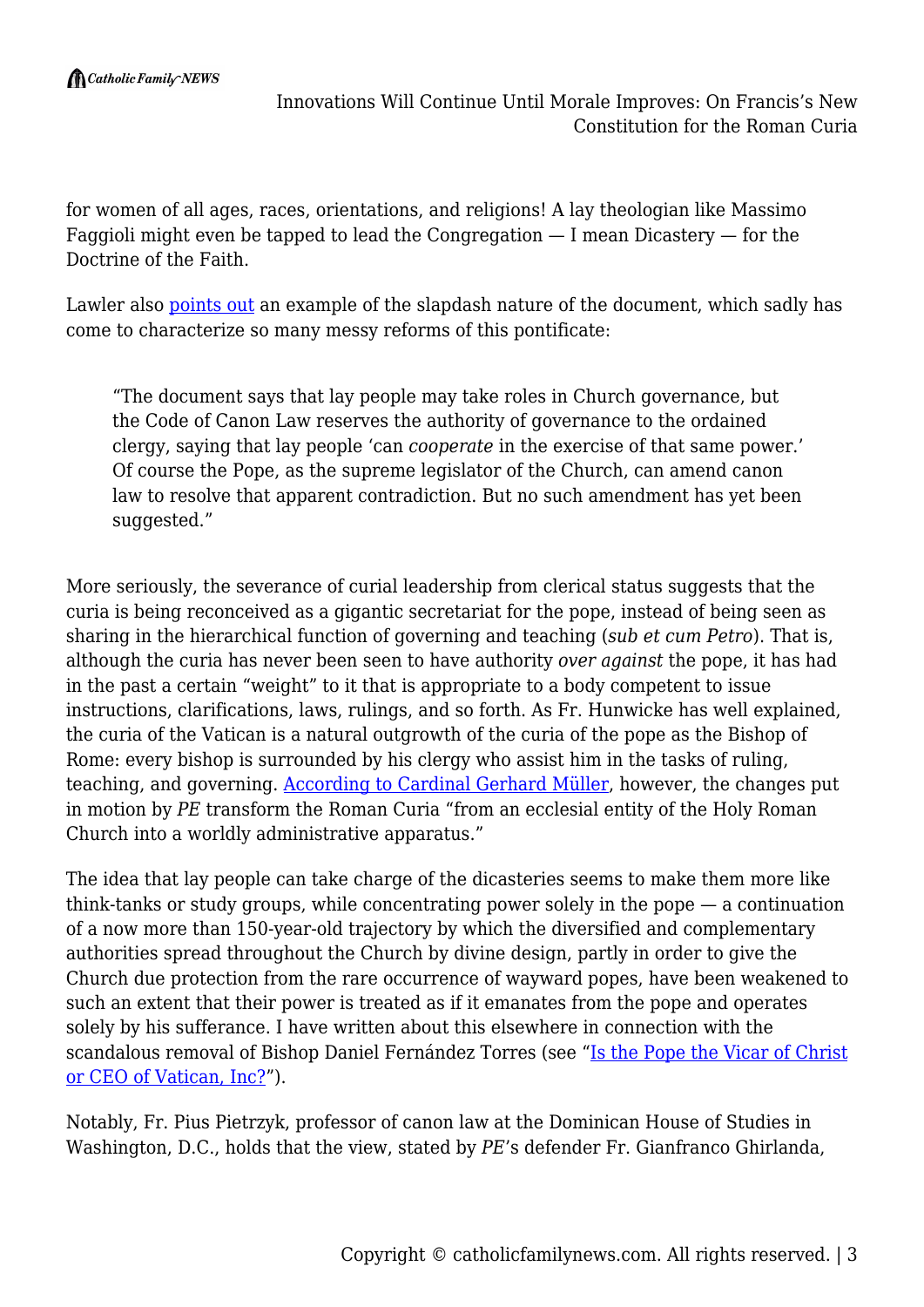for women of all ages, races, orientations, and religions! A lay theologian like Massimo Faggioli might even be tapped to lead the Congregation  $-$  I mean Dicastery  $-$  for the Doctrine of the Faith.

Lawler also [points out](https://www.catholicculture.org/news/headlines/index.cfm?storyid=54238) an example of the slapdash nature of the document, which sadly has come to characterize so many messy reforms of this pontificate:

"The document says that lay people may take roles in Church governance, but the Code of Canon Law reserves the authority of governance to the ordained clergy, saying that lay people 'can *cooperate* in the exercise of that same power.' Of course the Pope, as the supreme legislator of the Church, can amend canon law to resolve that apparent contradiction. But no such amendment has yet been suggested."

More seriously, the severance of curial leadership from clerical status suggests that the curia is being reconceived as a gigantic secretariat for the pope, instead of being seen as sharing in the hierarchical function of governing and teaching (*sub et cum Petro*). That is, although the curia has never been seen to have authority *over against* the pope, it has had in the past a certain "weight" to it that is appropriate to a body competent to issue instructions, clarifications, laws, rulings, and so forth. As Fr. Hunwicke has well explained, the curia of the Vatican is a natural outgrowth of the curia of the pope as the Bishop of Rome: every bishop is surrounded by his clergy who assist him in the tasks of ruling, teaching, and governing. [According to Cardinal Gerhard Müller](https://www.ncregister.com/news/praedicate-evangelium-poses-problems-some-church-analysts-warn), however, the changes put in motion by *PE* transform the Roman Curia "from an ecclesial entity of the Holy Roman Church into a worldly administrative apparatus."

The idea that lay people can take charge of the dicasteries seems to make them more like think-tanks or study groups, while concentrating power solely in the pope — a continuation of a now more than 150-year-old trajectory by which the diversified and complementary authorities spread throughout the Church by divine design, partly in order to give the Church due protection from the rare occurrence of wayward popes, have been weakened to such an extent that their power is treated as if it emanates from the pope and operates solely by his sufferance. I have written about this elsewhere in connection with the scandalous removal of Bishop Daniel Fernández Torres (see ["Is the Pope the Vicar of Christ](https://catholicfamilynews.com/blog/2022/03/14/is-the-pope-the-vicar-of-christ-or-ceo-of-vatican-inc/) [or CEO of Vatican, Inc?](https://catholicfamilynews.com/blog/2022/03/14/is-the-pope-the-vicar-of-christ-or-ceo-of-vatican-inc/)").

Notably, Fr. Pius Pietrzyk, professor of canon law at the Dominican House of Studies in Washington, D.C., holds that the view, stated by *PE*'s defender Fr. Gianfranco Ghirlanda,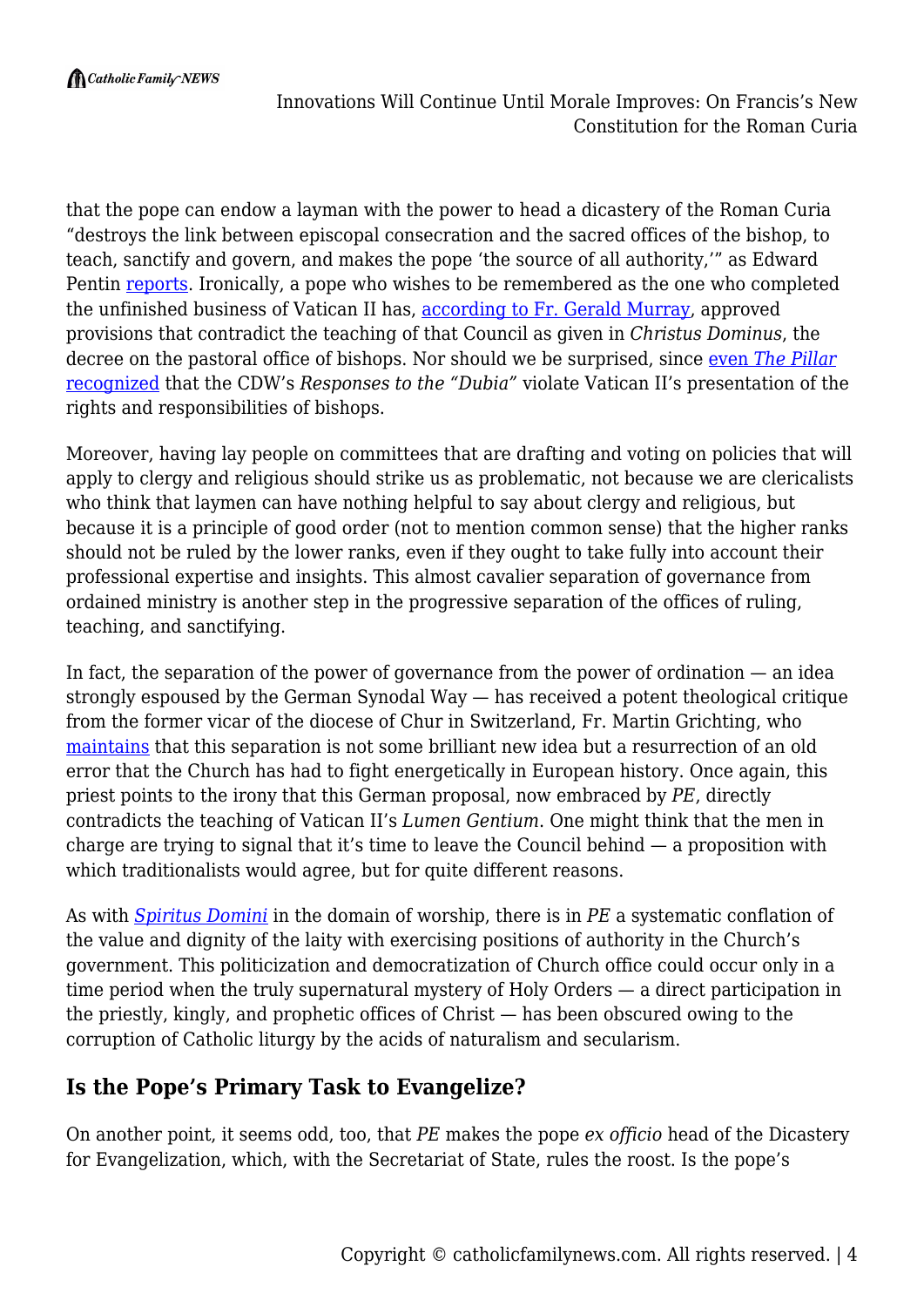

that the pope can endow a layman with the power to head a dicastery of the Roman Curia "destroys the link between episcopal consecration and the sacred offices of the bishop, to teach, sanctify and govern, and makes the pope 'the source of all authority,'" as Edward Pentin [reports](https://www.ncregister.com/news/praedicate-evangelium-poses-problems-some-church-analysts-warn). Ironically, a pope who wishes to be remembered as the one who completed the unfinished business of Vatican II has, [according to Fr. Gerald Murray,](https://www.ncregister.com/news/praedicate-evangelium-poses-problems-some-church-analysts-warn) approved provisions that contradict the teaching of that Council as given in *Christus Dominus*, the decree on the pastoral office of bishops. Nor should we be surprised, since [even](https://www.pillarcatholic.com/p/roches-rules-does-the-new-extraordinary) *[The Pillar](https://www.pillarcatholic.com/p/roches-rules-does-the-new-extraordinary)* [recognized](https://www.pillarcatholic.com/p/roches-rules-does-the-new-extraordinary) that the CDW's *Responses to the "Dubia"* violate Vatican II's presentation of the rights and responsibilities of bishops.

Moreover, having lay people on committees that are drafting and voting on policies that will apply to clergy and religious should strike us as problematic, not because we are clericalists who think that laymen can have nothing helpful to say about clergy and religious, but because it is a principle of good order (not to mention common sense) that the higher ranks should not be ruled by the lower ranks, even if they ought to take fully into account their professional expertise and insights. This almost cavalier separation of governance from ordained ministry is another step in the progressive separation of the offices of ruling, teaching, and sanctifying.

In fact, the separation of the power of governance from the power of ordination — an idea strongly espoused by the German Synodal Way — has received a potent theological critique from the former vicar of the diocese of Chur in Switzerland, Fr. Martin Grichting, who [maintains](https://www.lifesitenews.com/blogs/swiss-priest-warns-against-german-bishops-plan-to-separate-church-governance-from-ordination) that this separation is not some brilliant new idea but a resurrection of an old error that the Church has had to fight energetically in European history. Once again, this priest points to the irony that this German proposal, now embraced by *PE*, directly contradicts the teaching of Vatican II's *Lumen Gentium*. One might think that the men in charge are trying to signal that it's time to leave the Council behind — a proposition with which traditionalists would agree, but for quite different reasons.

As with *[Spiritus Domini](https://www.crisismagazine.com/2021/far-from-the-spirit-of-the-lord-on-the-popes-new-motu-proprio)* in the domain of worship, there is in *PE* a systematic conflation of the value and dignity of the laity with exercising positions of authority in the Church's government. This politicization and democratization of Church office could occur only in a time period when the truly supernatural mystery of Holy Orders — a direct participation in the priestly, kingly, and prophetic offices of Christ — has been obscured owing to the corruption of Catholic liturgy by the acids of naturalism and secularism.

## **Is the Pope's Primary Task to Evangelize?**

On another point, it seems odd, too, that *PE* makes the pope *ex officio* head of the Dicastery for Evangelization, which, with the Secretariat of State, rules the roost. Is the pope's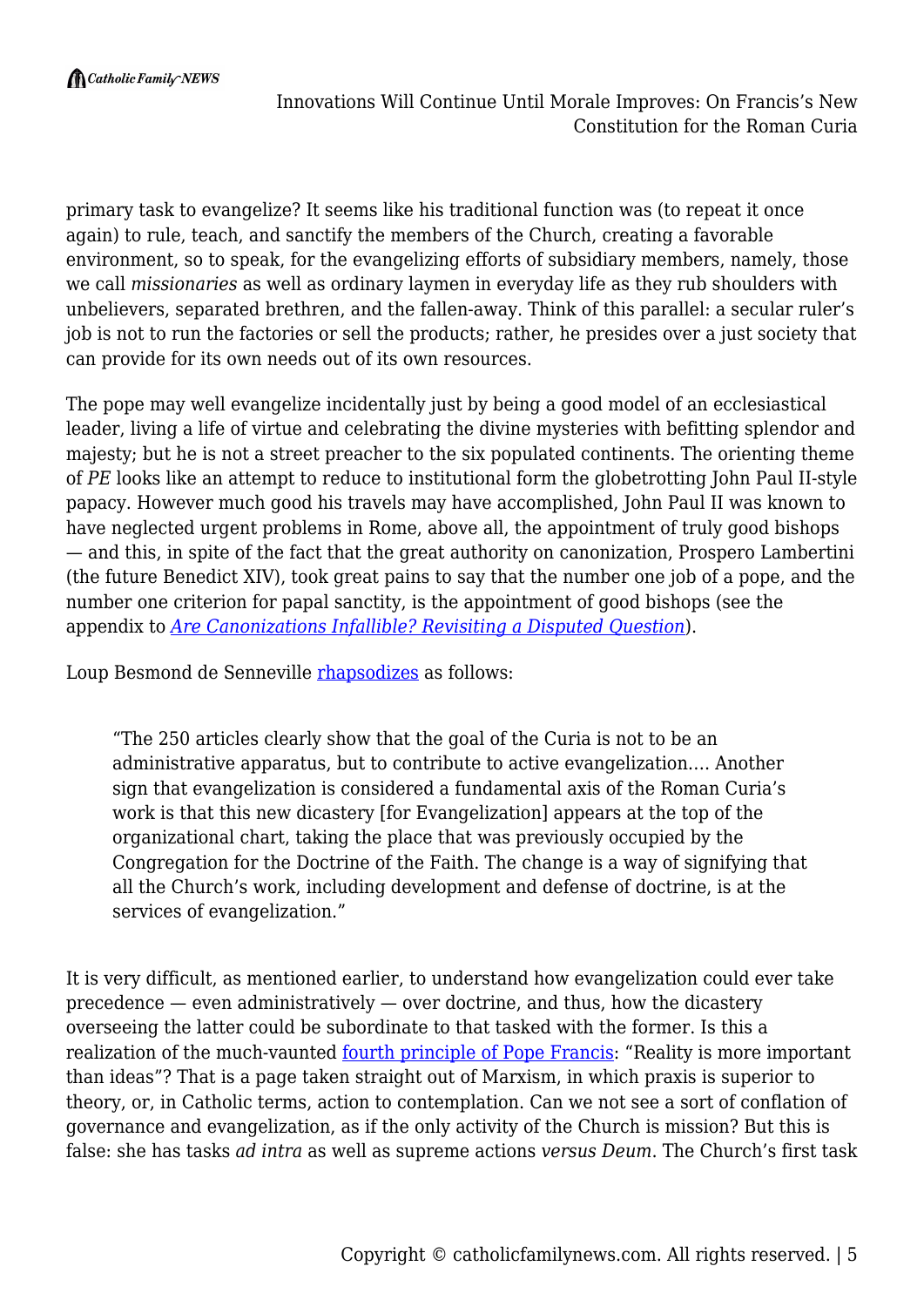$\bigcap$  Catholic Family NEWS

primary task to evangelize? It seems like his traditional function was (to repeat it once again) to rule, teach, and sanctify the members of the Church, creating a favorable environment, so to speak, for the evangelizing efforts of subsidiary members, namely, those we call *missionaries* as well as ordinary laymen in everyday life as they rub shoulders with unbelievers, separated brethren, and the fallen-away. Think of this parallel: a secular ruler's job is not to run the factories or sell the products; rather, he presides over a just society that can provide for its own needs out of its own resources.

The pope may well evangelize incidentally just by being a good model of an ecclesiastical leader, living a life of virtue and celebrating the divine mysteries with befitting splendor and majesty; but he is not a street preacher to the six populated continents. The orienting theme of *PE* looks like an attempt to reduce to institutional form the globetrotting John Paul II-style papacy. However much good his travels may have accomplished, John Paul II was known to have neglected urgent problems in Rome, above all, the appointment of truly good bishops — and this, in spite of the fact that the great authority on canonization, Prospero Lambertini (the future Benedict XIV), took great pains to say that the number one job of a pope, and the number one criterion for papal sanctity, is the appointment of good bishops (see the appendix to *[Are Canonizations Infallible? Revisiting a Disputed Question](http://aroucapress.com/are-canonizations-infallible)*).

Loup Besmond de Senneville [rhapsodizes](https://international.la-croix.com/news/religion/roman-curia-reformed-pope-francis-revolution/15822) as follows:

"The 250 articles clearly show that the goal of the Curia is not to be an administrative apparatus, but to contribute to active evangelization…. Another sign that evangelization is considered a fundamental axis of the Roman Curia's work is that this new dicastery [for Evangelization] appears at the top of the organizational chart, taking the place that was previously occupied by the Congregation for the Doctrine of the Faith. The change is a way of signifying that all the Church's work, including development and defense of doctrine, is at the services of evangelization."

It is very difficult, as mentioned earlier, to understand how evangelization could ever take  $precedence$  — even administratively — over doctrine, and thus, how the dicastery overseeing the latter could be subordinate to that tasked with the former. Is this a realization of the much-vaunted <u>fourth principle of Pope Francis</u>: "Reality is more important than ideas"? That is a page taken straight out of Marxism, in which praxis is superior to theory, or, in Catholic terms, action to contemplation. Can we not see a sort of conflation of governance and evangelization, as if the only activity of the Church is mission? But this is false: she has tasks *ad intra* as well as supreme actions *versus Deum*. The Church's first task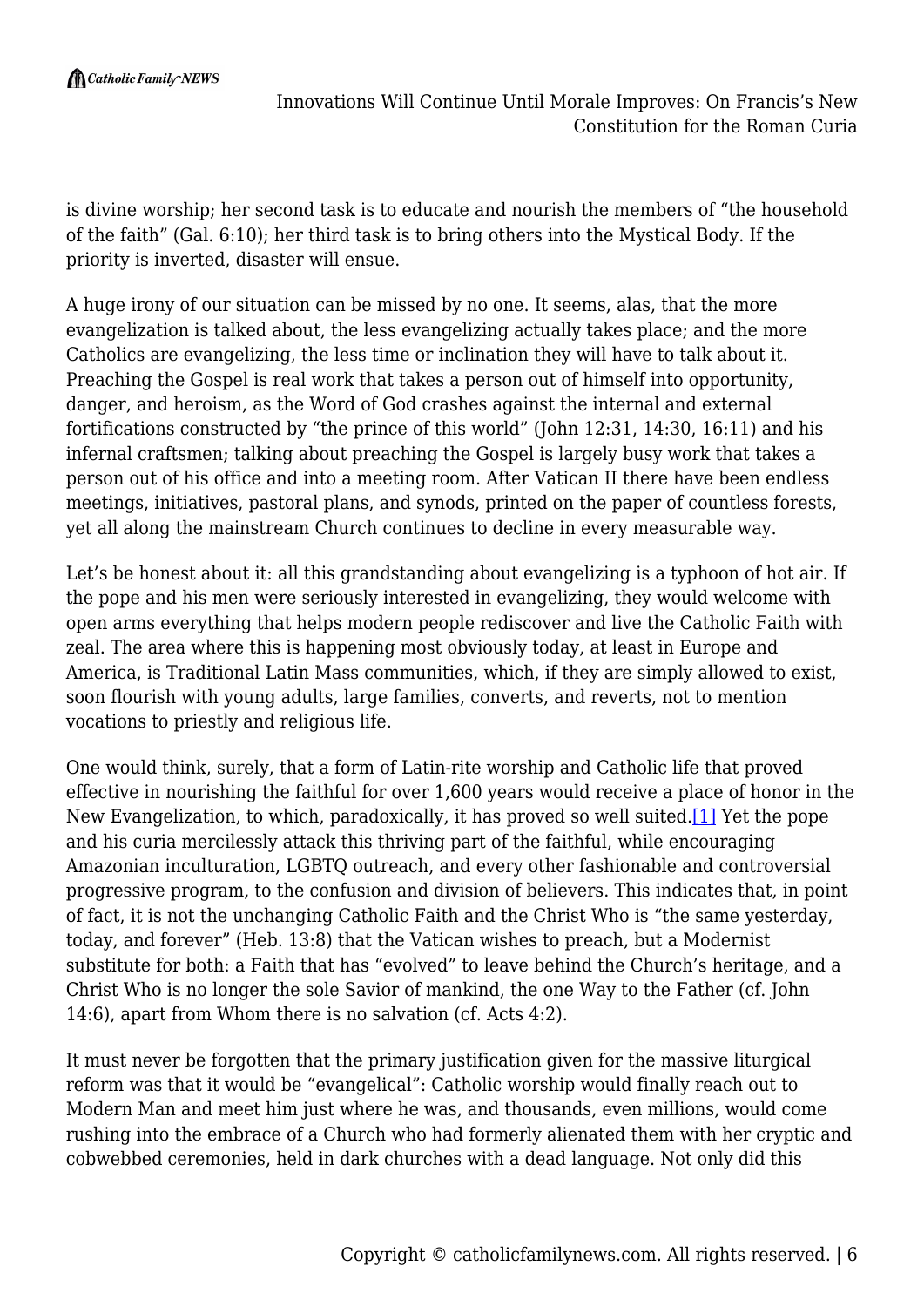is divine worship; her second task is to educate and nourish the members of "the household of the faith" (Gal. 6:10); her third task is to bring others into the Mystical Body. If the priority is inverted, disaster will ensue.

A huge irony of our situation can be missed by no one. It seems, alas, that the more evangelization is talked about, the less evangelizing actually takes place; and the more Catholics are evangelizing, the less time or inclination they will have to talk about it. Preaching the Gospel is real work that takes a person out of himself into opportunity, danger, and heroism, as the Word of God crashes against the internal and external fortifications constructed by "the prince of this world" (John 12:31, 14:30, 16:11) and his infernal craftsmen; talking about preaching the Gospel is largely busy work that takes a person out of his office and into a meeting room. After Vatican II there have been endless meetings, initiatives, pastoral plans, and synods, printed on the paper of countless forests, yet all along the mainstream Church continues to decline in every measurable way.

Let's be honest about it: all this grandstanding about evangelizing is a typhoon of hot air. If the pope and his men were seriously interested in evangelizing, they would welcome with open arms everything that helps modern people rediscover and live the Catholic Faith with zeal. The area where this is happening most obviously today, at least in Europe and America, is Traditional Latin Mass communities, which, if they are simply allowed to exist, soon flourish with young adults, large families, converts, and reverts, not to mention vocations to priestly and religious life.

One would think, surely, that a form of Latin-rite worship and Catholic life that proved effective in nourishing the faithful for over 1,600 years would receive a place of honor in the New Evangelization, to which, paradoxically, it has proved so well suited[.\[1\]](#page--1-0) Yet the pope and his curia mercilessly attack this thriving part of the faithful, while encouraging Amazonian inculturation, LGBTQ outreach, and every other fashionable and controversial progressive program, to the confusion and division of believers. This indicates that, in point of fact, it is not the unchanging Catholic Faith and the Christ Who is "the same yesterday, today, and forever" (Heb. 13:8) that the Vatican wishes to preach, but a Modernist substitute for both: a Faith that has "evolved" to leave behind the Church's heritage, and a Christ Who is no longer the sole Savior of mankind, the one Way to the Father (cf. John 14:6), apart from Whom there is no salvation (cf. Acts 4:2).

It must never be forgotten that the primary justification given for the massive liturgical reform was that it would be "evangelical": Catholic worship would finally reach out to Modern Man and meet him just where he was, and thousands, even millions, would come rushing into the embrace of a Church who had formerly alienated them with her cryptic and cobwebbed ceremonies, held in dark churches with a dead language. Not only did this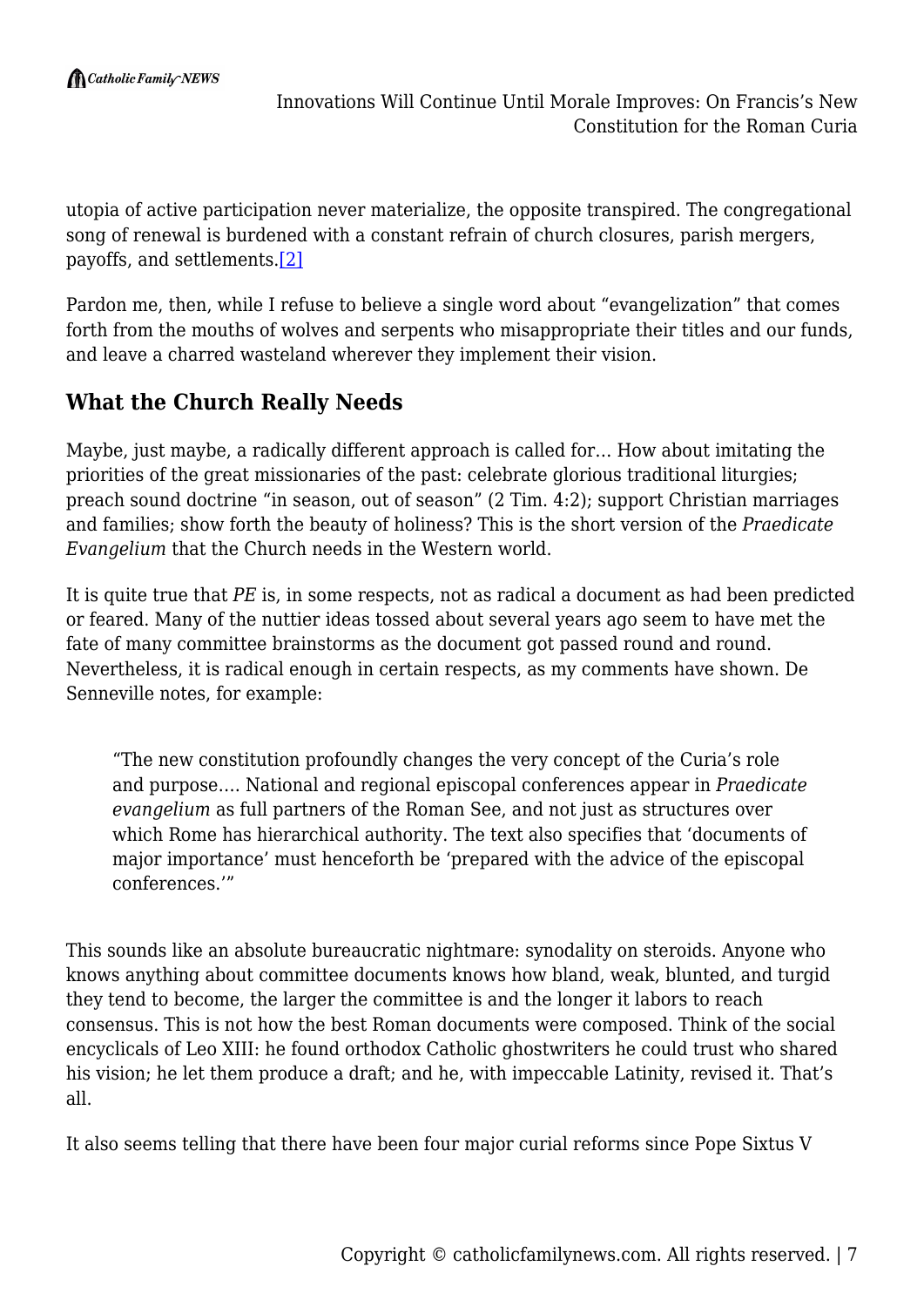utopia of active participation never materialize, the opposite transpired. The congregational song of renewal is burdened with a constant refrain of church closures, parish mergers, payoffs, and settlements.[\[2\]](#page--1-0)

Pardon me, then, while I refuse to believe a single word about "evangelization" that comes forth from the mouths of wolves and serpents who misappropriate their titles and our funds, and leave a charred wasteland wherever they implement their vision.

# **What the Church Really Needs**

Maybe, just maybe, a radically different approach is called for… How about imitating the priorities of the great missionaries of the past: celebrate glorious traditional liturgies; preach sound doctrine "in season, out of season" (2 Tim. 4:2); support Christian marriages and families; show forth the beauty of holiness? This is the short version of the *Praedicate Evangelium* that the Church needs in the Western world.

It is quite true that *PE* is, in some respects, not as radical a document as had been predicted or feared. Many of the nuttier ideas tossed about several years ago seem to have met the fate of many committee brainstorms as the document got passed round and round. Nevertheless, it is radical enough in certain respects, as my comments have shown. De Senneville notes, for example:

"The new constitution profoundly changes the very concept of the Curia's role and purpose…. National and regional episcopal conferences appear in *Praedicate evangelium* as full partners of the Roman See, and not just as structures over which Rome has hierarchical authority. The text also specifies that 'documents of major importance' must henceforth be 'prepared with the advice of the episcopal conferences.'"

This sounds like an absolute bureaucratic nightmare: synodality on steroids. Anyone who knows anything about committee documents knows how bland, weak, blunted, and turgid they tend to become, the larger the committee is and the longer it labors to reach consensus. This is not how the best Roman documents were composed. Think of the social encyclicals of Leo XIII: he found orthodox Catholic ghostwriters he could trust who shared his vision; he let them produce a draft; and he, with impeccable Latinity, revised it. That's all.

It also seems telling that there have been four major curial reforms since Pope Sixtus V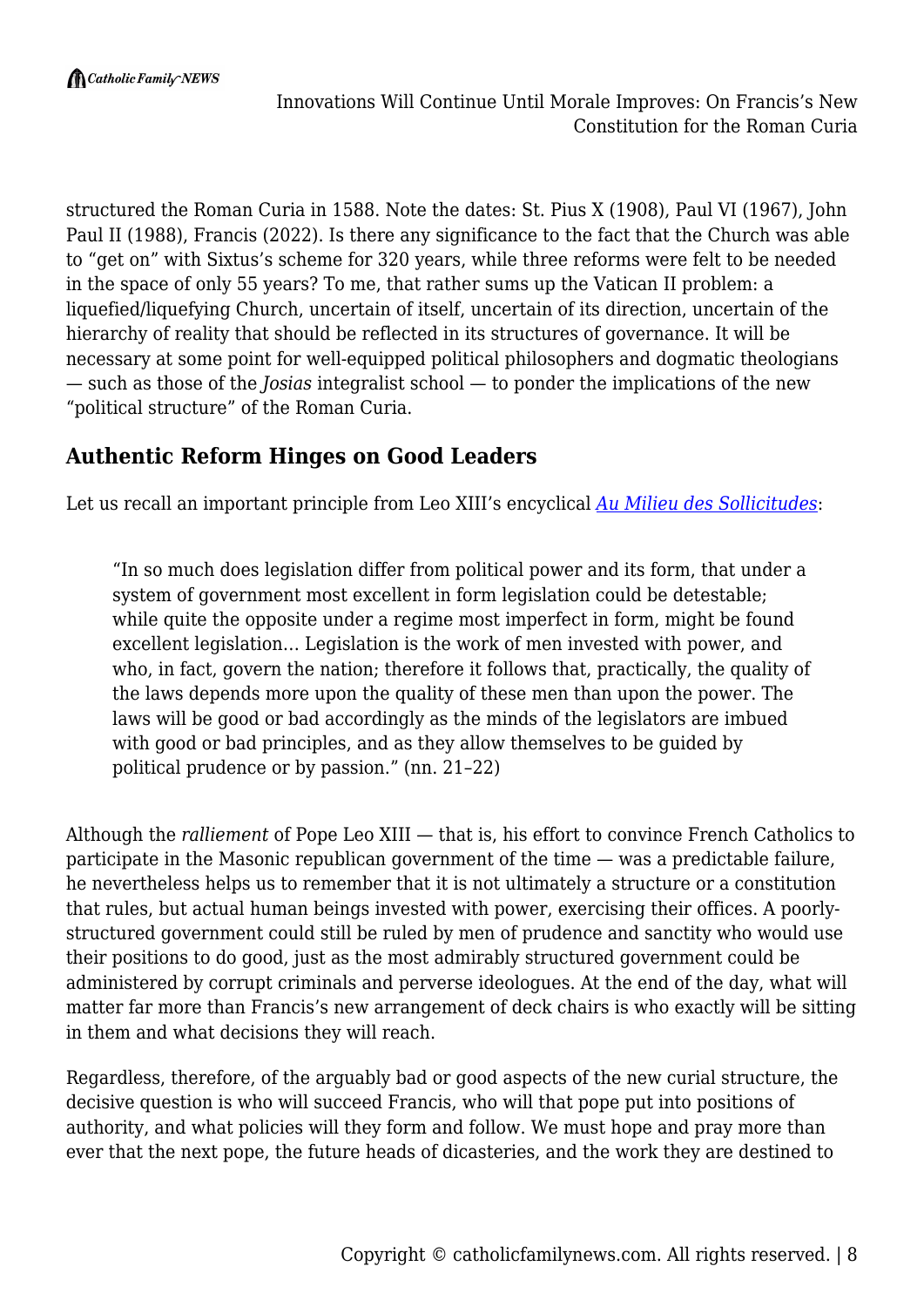structured the Roman Curia in 1588. Note the dates: St. Pius X (1908), Paul VI (1967), John Paul II (1988), Francis (2022). Is there any significance to the fact that the Church was able to "get on" with Sixtus's scheme for 320 years, while three reforms were felt to be needed in the space of only 55 years? To me, that rather sums up the Vatican II problem: a liquefied/liquefying Church, uncertain of itself, uncertain of its direction, uncertain of the hierarchy of reality that should be reflected in its structures of governance. It will be necessary at some point for well-equipped political philosophers and dogmatic theologians — such as those of the *Josias* integralist school — to ponder the implications of the new "political structure" of the Roman Curia.

#### **Authentic Reform Hinges on Good Leaders**

Let us recall an important principle from Leo XIII's encyclical *[Au Milieu des Sollicitudes](https://www.vatican.va/content/leo-xiii/en/encyclicals/documents/hf_l-xiii_enc_16021892_au-milieu-des-sollicitudes.html)*:

"In so much does legislation differ from political power and its form, that under a system of government most excellent in form legislation could be detestable; while quite the opposite under a regime most imperfect in form, might be found excellent legislation… Legislation is the work of men invested with power, and who, in fact, govern the nation; therefore it follows that, practically, the quality of the laws depends more upon the quality of these men than upon the power. The laws will be good or bad accordingly as the minds of the legislators are imbued with good or bad principles, and as they allow themselves to be guided by political prudence or by passion." (nn. 21–22)

Although the *ralliement* of Pope Leo XIII — that is, his effort to convince French Catholics to participate in the Masonic republican government of the time — was a predictable failure, he nevertheless helps us to remember that it is not ultimately a structure or a constitution that rules, but actual human beings invested with power, exercising their offices. A poorlystructured government could still be ruled by men of prudence and sanctity who would use their positions to do good, just as the most admirably structured government could be administered by corrupt criminals and perverse ideologues. At the end of the day, what will matter far more than Francis's new arrangement of deck chairs is who exactly will be sitting in them and what decisions they will reach.

Regardless, therefore, of the arguably bad or good aspects of the new curial structure, the decisive question is who will succeed Francis, who will that pope put into positions of authority, and what policies will they form and follow. We must hope and pray more than ever that the next pope, the future heads of dicasteries, and the work they are destined to